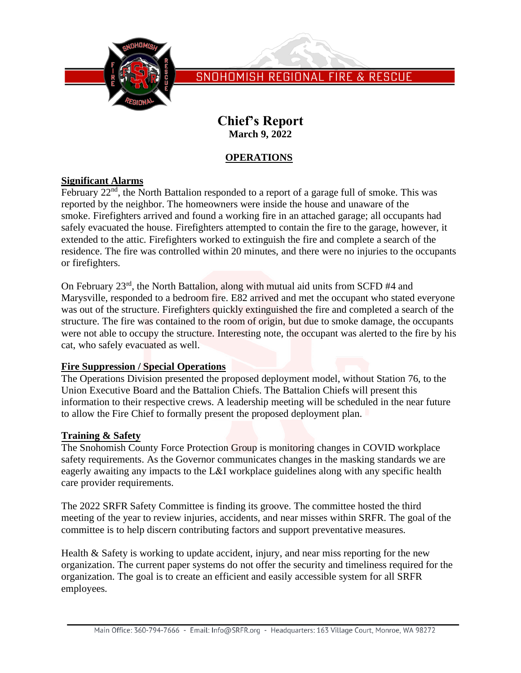

SNOHOMISH REGIONAL FIRE & RESCUE

# **Chief's Report March 9, 2022**

## **OPERATIONS**

#### **Significant Alarms**

February  $22<sup>nd</sup>$ , the North Battalion responded to a report of a garage full of smoke. This was reported by the neighbor. The homeowners were inside the house and unaware of the smoke. Firefighters arrived and found a working fire in an attached garage; all occupants had safely evacuated the house. Firefighters attempted to contain the fire to the garage, however, it extended to the attic. Firefighters worked to extinguish the fire and complete a search of the residence. The fire was controlled within 20 minutes, and there were no injuries to the occupants or firefighters.

On February 23rd, the North Battalion, along with mutual aid units from SCFD #4 and Marysville, responded to a bedroom fire. E82 arrived and met the occupant who stated everyone was out of the structure. Firefighters quickly extinguished the fire and completed a search of the structure. The fire was contained to the room of origin, but due to smoke damage, the occupants were not able to occupy the structure. Interesting note, the occupant was alerted to the fire by his cat, who safely evacuated as well.

## **Fire Suppression / Special Operations**

The Operations Division presented the proposed deployment model, without Station 76, to the Union Executive Board and the Battalion Chiefs. The Battalion Chiefs will present this information to their respective crews. A leadership meeting will be scheduled in the near future to allow the Fire Chief to formally present the proposed deployment plan.

## **Training & Safety**

The Snohomish County Force Protection Group is monitoring changes in COVID workplace safety requirements. As the Governor communicates changes in the masking standards we are eagerly awaiting any impacts to the L&I workplace guidelines along with any specific health care provider requirements.

The 2022 SRFR Safety Committee is finding its groove. The committee hosted the third meeting of the year to review injuries, accidents, and near misses within SRFR. The goal of the committee is to help discern contributing factors and support preventative measures.

Health & Safety is working to update accident, injury, and near miss reporting for the new organization. The current paper systems do not offer the security and timeliness required for the organization. The goal is to create an efficient and easily accessible system for all SRFR employees.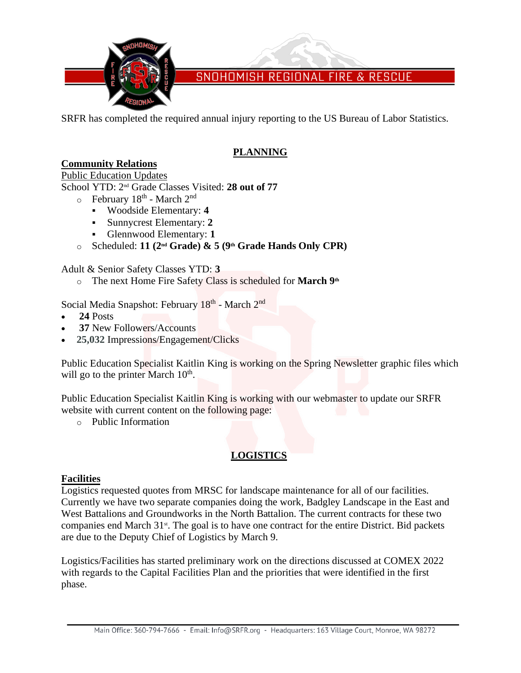

SNOHOMISH REGIONAL FIRE & RESCUE

SRFR has completed the required annual injury reporting to the US Bureau of Labor Statistics.

## **PLANNING**

## **Community Relations**

#### Public Education Updates

School YTD: 2 nd Grade Classes Visited: **28 out of 77**

- $\circ$  February 18<sup>th</sup> March 2<sup>nd</sup>
	- Woodside Elementary: **4**
	- Sunnycrest Elementary: **2**
	- Glennwood Elementary: **1**
- o Scheduled: **11 (2nd Grade) & 5 (9th Grade Hands Only CPR)**

Adult & Senior Safety Classes YTD: **3**

o The next Home Fire Safety Class is scheduled for **March 9 th**

Social Media Snapshot: February 18<sup>th</sup> - March 2<sup>nd</sup>

- **24** Posts
- **37** New Followers/Accounts
- **25,032** Impressions/Engagement/Clicks

Public Education Specialist Kaitlin King is working on the Spring Newsletter graphic files which will go to the printer March 10<sup>th</sup>.

Public Education Specialist Kaitlin King is working with our webmaster to update our SRFR website with current content on the following page:

o Public Information

# **LOGISTICS**

## **Facilities**

Logistics requested quotes from MRSC for landscape maintenance for all of our facilities. Currently we have two separate companies doing the work, Badgley Landscape in the East and West Battalions and Groundworks in the North Battalion. The current contracts for these two companies end March  $31$ <sup>st</sup>. The goal is to have one contract for the entire District. Bid packets are due to the Deputy Chief of Logistics by March 9.

Logistics/Facilities has started preliminary work on the directions discussed at COMEX 2022 with regards to the Capital Facilities Plan and the priorities that were identified in the first phase.